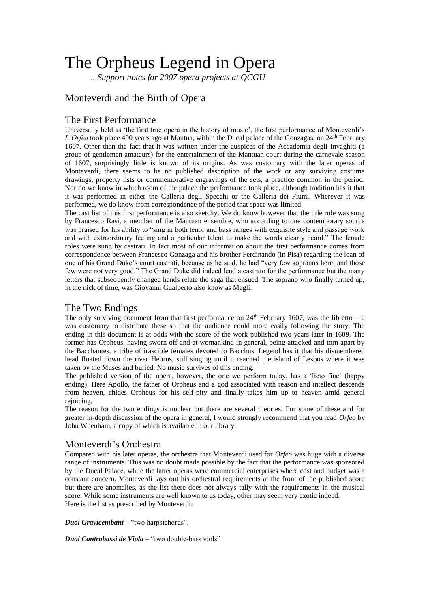# The Orpheus Legend in Opera

*.. Support notes for 2007 opera projects at QCGU*

## Monteverdi and the Birth of Opera

### The First Performance

Universally held as 'the first true opera in the history of music', the first performance of Monteverdi's *L'Orfeo* took place 400 years ago at Mantua, within the Ducal palace of the Gonzagas, on 24th February 1607. Other than the fact that it was written under the auspices of the Accademia degli Invaghiti (a group of gentlemen amateurs) for the entertainment of the Mantuan court during the carnevale season of 1607, surprisingly little is known of its origins. As was customary with the later operas of Monteverdi, there seems to be no published description of the work or any surviving costume drawings, property lists or commemorative engravings of the sets, a practice common in the period. Nor do we know in which room of the palace the performance took place, although tradition has it that it was performed in either the Galleria degli Specchi or the Galleria dei Fiumi. Wherever it was performed, we do know from correspondence of the period that space was limited.

The cast list of this first performance is also sketchy. We do know however that the title role was sung by Francesco Rasi, a member of the Mantuan ensemble, who according to one contemporary source was praised for his ability to "sing in both tenor and bass ranges with exquisite style and passage work and with extraordinary feeling and a particular talent to make the words clearly heard." The female roles were sung by castrati. In fact most of our information about the first performance comes from correspondence between Francesco Gonzaga and his brother Ferdinando (in Pisa) regarding the loan of one of his Grand Duke's court castrati, because as he said, he had "very few sopranos here, and those few were not very good." The Grand Duke did indeed lend a castrato for the performance but the many letters that subsequently changed hands relate the saga that ensued. The soprano who finally turned up, in the nick of time, was Giovanni Gualberto also know as Magli.

### The Two Endings

The only surviving document from that first performance on  $24<sup>th</sup>$  February 1607, was the libretto – it was customary to distribute these so that the audience could more easily following the story. The ending in this document is at odds with the score of the work published two years later in 1609. The former has Orpheus, having sworn off and at womankind in general, being attacked and torn apart by the Bacchantes, a tribe of irascible females devoted to Bacchus. Legend has it that his dismembered head floated down the river Hebrus, still singing until it reached the island of Lesbos where it was taken by the Muses and buried. No music survives of this ending.

The published version of the opera, however, the one we perform today, has a 'lieto fine' (happy ending). Here Apollo, the father of Orpheus and a god associated with reason and intellect descends from heaven, chides Orpheus for his self-pity and finally takes him up to heaven amid general rejoicing.

The reason for the two endings is unclear but there are several theories. For some of these and for greater in-depth discussion of the opera in general, I would strongly recommend that you read *Orfeo* by John Whenham, a copy of which is available in our library.

### Monteverdi's Orchestra

Compared with his later operas, the orchestra that Monteverdi used for *Orfeo* was huge with a diverse range of instruments. This was no doubt made possible by the fact that the performance was sponsored by the Ducal Palace, while the latter operas were commercial enterprises where cost and budget was a constant concern. Monteverdi lays out his orchestral requirements at the front of the published score but there are anomalies, as the list there does not always tally with the requirements in the musical score. While some instruments are well known to us today, other may seem very exotic indeed. Here is the list as prescribed by Monteverdi:

*Duoi Gravicembani* – "two harpsichords".

*Duoi Contrabassi de Viola* – "two double-bass viols"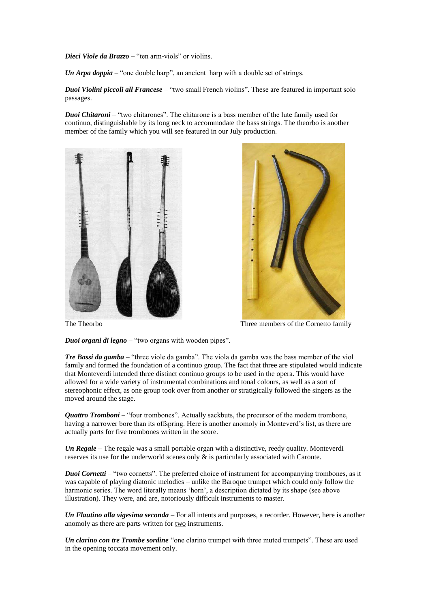*Dieci Viole da Brazzo* – "ten arm-viols" or violins.

*Un Arpa doppia* – "one double harp", an ancient harp with a double set of strings.

*Duoi Violini piccoli all Francese* – "two small French violins". These are featured in important solo passages.

*Duoi Chitaroni* – "two chitarones". The chitarone is a bass member of the lute family used for continuo, distinguishable by its long neck to accommodate the bass strings. The theorbo is another member of the family which you will see featured in our July production.





The Theorbo Three members of the Cornetto family

*Duoi organi di legno* – "two organs with wooden pipes".

*Tre Bassi da gamba* – "three viole da gamba". The viola da gamba was the bass member of the viol family and formed the foundation of a continuo group. The fact that three are stipulated would indicate that Monteverdi intended three distinct continuo groups to be used in the opera. This would have allowed for a wide variety of instrumental combinations and tonal colours, as well as a sort of stereophonic effect, as one group took over from another or stratigically followed the singers as the moved around the stage.

*Quattro Tromboni* – "four trombones". Actually sackbuts, the precursor of the modern trombone, having a narrower bore than its offspring. Here is another anomoly in Monteverd's list, as there are actually parts for five trombones written in the score.

*Un Regale* – The regale was a small portable organ with a distinctive, reedy quality. Monteverdi reserves its use for the underworld scenes only & is particularly associated with Caronte.

*Duoi Cornetti* – "two cornetts". The preferred choice of instrument for accompanying trombones, as it was capable of playing diatonic melodies – unlike the Baroque trumpet which could only follow the harmonic series. The word literally means 'horn', a description dictated by its shape (see above illustration). They were, and are, notoriously difficult instruments to master.

*Un Flautino alla vigesima seconda* – For all intents and purposes, a recorder*.* However, here is another anomoly as there are parts written for two instruments.

*Un clarino con tre Trombe sordine* "one clarino trumpet with three muted trumpets". These are used in the opening toccata movement only.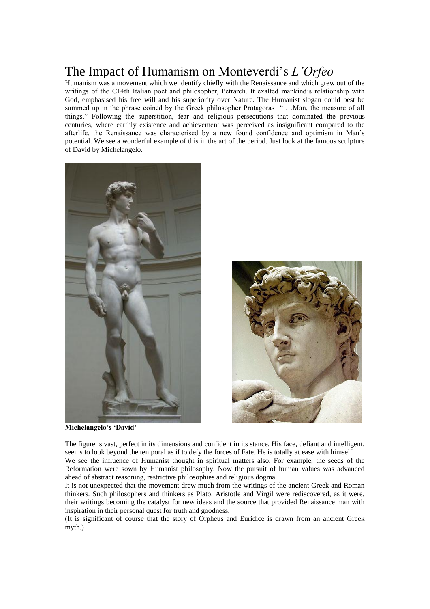## The Impact of Humanism on Monteverdi's *L'Orfeo*

Humanism was a movement which we identify chiefly with the Renaissance and which grew out of the writings of the C14th Italian poet and philosopher, Petrarch. It exalted mankind's relationship with God, emphasised his free will and his superiority over Nature. The Humanist slogan could best be summed up in the phrase coined by the Greek philosopher Protagoras " …Man, the measure of all things." Following the superstition, fear and religious persecutions that dominated the previous centuries, where earthly existence and achievement was perceived as insignificant compared to the afterlife, the Renaissance was characterised by a new found confidence and optimism in Man's potential. We see a wonderful example of this in the art of the period. Just look at the famous sculpture of David by Michelangelo.



**Michelangelo's 'David'**

The figure is vast, perfect in its dimensions and confident in its stance. His face, defiant and intelligent, seems to look beyond the temporal as if to defy the forces of Fate. He is totally at ease with himself.

We see the influence of Humanist thought in spiritual matters also. For example, the seeds of the Reformation were sown by Humanist philosophy. Now the pursuit of human values was advanced ahead of abstract reasoning, restrictive philosophies and religious dogma.

It is not unexpected that the movement drew much from the writings of the ancient Greek and Roman thinkers. Such philosophers and thinkers as Plato, Aristotle and Virgil were rediscovered, as it were, their writings becoming the catalyst for new ideas and the source that provided Renaissance man with inspiration in their personal quest for truth and goodness.

(It is significant of course that the story of Orpheus and Euridice is drawn from an ancient Greek myth.)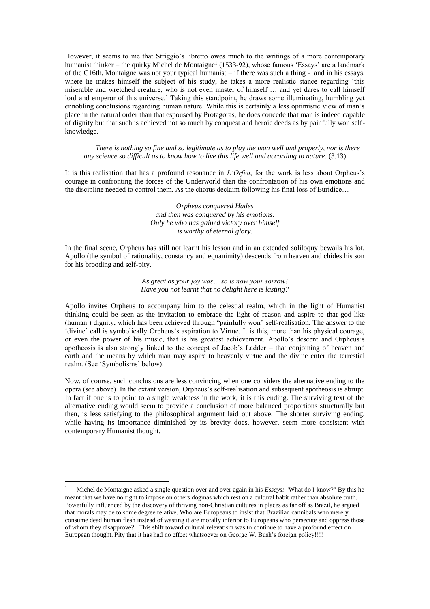However, it seems to me that Striggio's libretto owes much to the writings of a more contemporary humanist thinker – the quirky Michel de Montaigne<sup>1</sup> (1533-92), whose famous 'Essays' are a landmark of the C16th. Montaigne was not your typical humanist – if there was such a thing - and in his essays, where he makes himself the subject of his study, he takes a more realistic stance regarding 'this miserable and wretched creature, who is not even master of himself … and yet dares to call himself lord and emperor of this universe.' Taking this standpoint, he draws some illuminating, humbling yet ennobling conclusions regarding human nature. While this is certainly a less optimistic view of man's place in the natural order than that espoused by Protagoras, he does concede that man is indeed capable of dignity but that such is achieved not so much by conquest and heroic deeds as by painfully won selfknowledge.

*There is nothing so fine and so legitimate as to play the man well and properly, nor is there any science so difficult as to know how to live this life well and according to nature*. (3.13)

It is this realisation that has a profound resonance in *L'Orfeo*, for the work is less about Orpheus's courage in confronting the forces of the Underworld than the confrontation of his own emotions and the discipline needed to control them. As the chorus declaim following his final loss of Euridice…

> *Orpheus conquered Hades and then was conquered by his emotions. Only he who has gained victory over himself is worthy of eternal glory.*

In the final scene, Orpheus has still not learnt his lesson and in an extended soliloquy bewails his lot. Apollo (the symbol of rationality, constancy and equanimity) descends from heaven and chides his son for his brooding and self-pity.

> *As great as your joy was… so is now your sorrow! Have you not learnt that no delight here is lasting?*

Apollo invites Orpheus to accompany him to the celestial realm, which in the light of Humanist thinking could be seen as the invitation to embrace the light of reason and aspire to that god-like (human ) dignity, which has been achieved through "painfully won" self-realisation. The answer to the 'divine' call is symbolically Orpheus's aspiration to Virtue. It is this, more than his physical courage, or even the power of his music, that is his greatest achievement. Apollo's descent and Orpheus's apotheosis is also strongly linked to the concept of Jacob's Ladder – that conjoining of heaven and earth and the means by which man may aspire to heavenly virtue and the divine enter the terrestial realm. (See 'Symbolisms' below).

Now, of course, such conclusions are less convincing when one considers the alternative ending to the opera (see above). In the extant version, Orpheus's self-realisation and subsequent apotheosis is abrupt. In fact if one is to point to a single weakness in the work, it is this ending. The surviving text of the alternative ending would seem to provide a conclusion of more balanced proportions structurally but then, is less satisfying to the philosophical argument laid out above. The shorter surviving ending, while having its importance diminished by its brevity does, however, seem more consistent with contemporary Humanist thought.

<u>.</u>

<sup>1</sup> Michel de Montaigne asked a single question over and over again in his *Essays:* "What do I know?" By this he meant that we have no right to impose on others dogmas which rest on a cultural habit rather than absolute truth. Powerfully influenced by the discovery of thriving non-Christian cultures in places as far off as Brazil, he argued that morals may be to some degree relative. Who are Europeans to insist that Brazilian cannibals who merely consume dead human flesh instead of wasting it are morally inferior to Europeans who persecute and oppress those of whom they disapprove? This shift toward cultural relevatism was to continue to have a profound effect on European thought. Pity that it has had no effect whatsoever on George W. Bush's foreign policy!!!!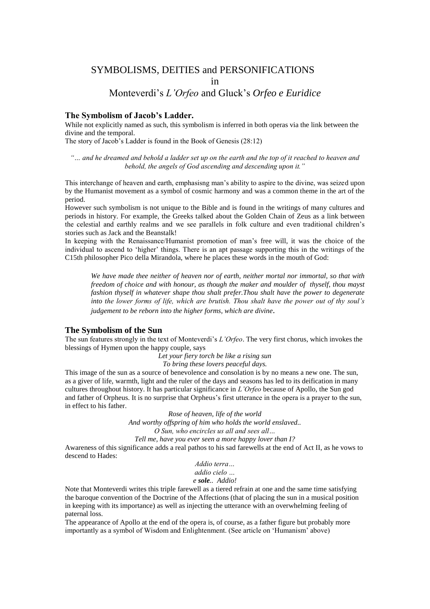### SYMBOLISMS, DEITIES and PERSONIFICATIONS

in

### Monteverdi's *L'Orfeo* and Gluck's *Orfeo e Euridice*

#### **The Symbolism of Jacob's Ladder.**

While not explicitly named as such, this symbolism is inferred in both operas via the link between the divine and the temporal.

The story of Jacob's Ladder is found in the Book of Genesis (28:12)

*"… and he dreamed and behold a ladder set up on the earth and the top of it reached to heaven and behold, the angels of God ascending and descending upon it."*

This interchange of heaven and earth, emphasisng man's ability to aspire to the divine, was seized upon by the Humanist movement as a symbol of cosmic harmony and was a common theme in the art of the period.

However such symbolism is not unique to the Bible and is found in the writings of many cultures and periods in history. For example, the Greeks talked about the Golden Chain of Zeus as a link between the celestial and earthly realms and we see parallels in folk culture and even traditional children's stories such as Jack and the Beanstalk!

In keeping with the Renaissance/Humanist promotion of man's free will, it was the choice of the individual to ascend to 'higher' things. There is an apt passage supporting this in the writings of the C15th philosopher Pico della Mirandola, where he places these words in the mouth of God:

*We have made thee neither of heaven nor of earth, neither mortal nor immortal, so that with freedom of choice and with honour, as though the maker and moulder of thyself, thou mayst fashion thyself in whatever shape thou shalt prefer.Thou shalt have the power to degenerate into the lower forms of life, which are brutish. Thou shalt have the power out of thy soul's judgement to be reborn into the higher forms, which are divine.*

#### **The Symbolism of the Sun**

The sun features strongly in the text of Monteverdi's *L'Orfeo*. The very first chorus, which invokes the blessings of Hymen upon the happy couple, says

*Let your fiery torch be like a rising sun*

*To bring these lovers peaceful days.*

This image of the sun as a source of benevolence and consolation is by no means a new one. The sun, as a giver of life, warmth, light and the ruler of the days and seasons has led to its deification in many cultures throughout history. It has particular significance in *L'Orfeo* because of Apollo, the Sun god and father of Orpheus. It is no surprise that Orpheus's first utterance in the opera is a prayer to the sun, in effect to his father.

> *Rose of heaven, life of the world And worthy offspring of him who holds the world enslaved.. O Sun, who encircles us all and sees all… Tell me, have you ever seen a more happy lover than I?*

Awareness of this significance adds a real pathos to his sad farewells at the end of Act II, as he vows to descend to Hades:

> *Addio terra… addio cielo … e sole.. Addio!*

Note that Monteverdi writes this triple farewell as a tiered refrain at one and the same time satisfying the baroque convention of the Doctrine of the Affections (that of placing the sun in a musical position in keeping with its importance) as well as injecting the utterance with an overwhelming feeling of paternal loss.

The appearance of Apollo at the end of the opera is, of course, as a father figure but probably more importantly as a symbol of Wisdom and Enlightenment. (See article on 'Humanism' above)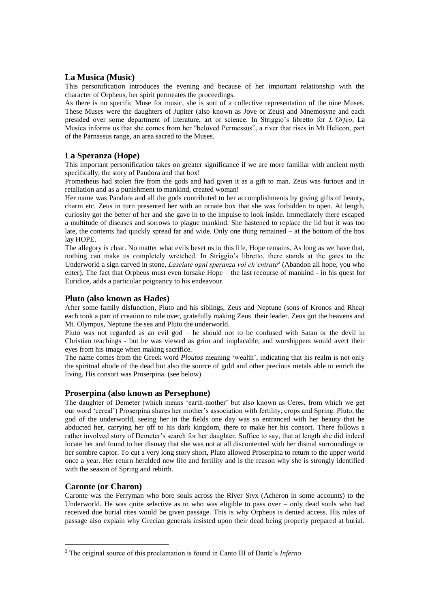#### **La Musica (Music)**

This personification introduces the evening and because of her important relationship with the character of Orpheus, her spirit permeates the proceedings.

As there is no specific Muse for music, she is sort of a collective representation of the nine Muses. These Muses were the daughters of Jupiter (also known as Jove or Zeus) and Mnemosyne and each presided over some department of literature, art or science. In Striggio's libretto for *L'Orfeo*, La Musica informs us that she comes from her "beloved Permessus", a river that rises in Mt Helicon, part of the Parnassus range, an area sacred to the Muses.

#### **La Speranza (Hope)**

This important personification takes on greater significance if we are more familiar with ancient myth specifically, the story of Pandora and that box!

Prometheus had stolen fire from the gods and had given it as a gift to man. Zeus was furious and in retaliation and as a punishment to mankind, created woman!

Her name was Pandora and all the gods contributed to her accomplishments by giving gifts of beauty, charm etc. Zeus in turn presented her with an ornate box that she was forbidden to open. At length, curiosity got the better of her and she gave in to the impulse to look inside. Immediately there escaped a multitude of diseases and sorrows to plague mankind. She hastened to replace the lid but it was too late, the contents had quickly spread far and wide. Only one thing remained – at the bottom of the box lay HOPE.

The allegory is clear. No matter what evils beset us in this life, Hope remains. As long as we have that, nothing can make us completely wretched. In Striggio's libretto, there stands at the gates to the Underworld a sign carved in stone, *Lasciate ogni speranza voi ch'entrate<sup>2</sup>* (Abandon all hope, you who enter). The fact that Orpheus must even forsake Hope – the last recourse of mankind - in his quest for Euridice, adds a particular poignancy to his endeavour.

#### **Pluto (also known as Hades)**

After some family disfunction, Pluto and his siblings, Zeus and Neptune (sons of Kronos and Rhea) each took a part of creation to rule over, gratefully making Zeus their leader. Zeus got the heavens and Mt. Olympus, Neptune the sea and Pluto the underworld.

Pluto was not regarded as an evil god – he should not to be confused with Satan or the devil in Christian teachings - but he was viewed as grim and implacable, and worshippers would avert their eyes from his image when making sacrifice.

The name comes from the Greek word *Ploutos* meaning 'wealth', indicating that his realm is not only the spiritual abode of the dead but also the source of gold and other precious metals able to enrich the living. His consort was Proserpina. (see below)

#### **Proserpina (also known as Persephone)**

The daughter of Demeter (which means 'earth-mother' but also known as Ceres, from which we get our word 'cereal') Proserpina shares her mother's association with fertility, crops and Spring. Pluto, the god of the underworld, seeing her in the fields one day was so entranced with her beauty that he abducted her, carrying her off to his dark kingdom, there to make her his consort. There follows a rather involved story of Demeter's search for her daughter. Suffice to say, that at length she did indeed locate her and found to her dismay that she was not at all discontented with her dismal surroundings or her sombre captor. To cut a very long story short, Pluto allowed Proserpina to return to the upper world once a year. Her return heralded new life and fertility and is the reason why she is strongly identified with the season of Spring and rebirth.

#### **Caronte (or Charon)**

1

Caronte was the Ferryman who bore souls across the River Styx (Acheron in some accounts) to the Underworld. He was quite selective as to who was eligible to pass over – only dead souls who had received due burial rites would be given passage. This is why Orpheus is denied access. His rules of passage also explain why Grecian generals insisted upon their dead being properly prepared at burial.

<sup>2</sup> The original source of this proclamation is found in Canto III of Dante's *Inferno*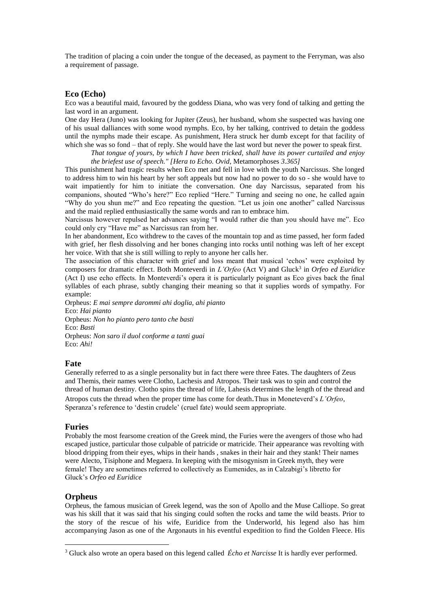The tradition of placing a coin under the tongue of the deceased, as payment to the Ferryman, was also a requirement of passage.

#### **Eco (Echo)**

Eco was a beautiful maid, favoured by the goddess Diana, who was very fond of talking and getting the last word in an argument.

One day Hera (Juno) was looking for Jupiter (Zeus), her husband, whom she suspected was having one of his usual dalliances with some wood nymphs. Eco, by her talking, contrived to detain the goddess until the nymphs made their escape. As punishment, Hera struck her dumb except for that facility of which she was so fond – that of reply. She would have the last word but never the power to speak first.

*That tongue of yours, by which I have been tricked, shall have its power curtailed and enjoy the briefest use of speech." [\[Hera](http://www.maicar.com/GML/Hera.html) to Echo. Ovid,* [Metamorphoses](http://www.amazon.com/exec/obidos/ASIN/0806128941/carlosparada-20) *3.365]*

This punishment had tragic results when Eco met and fell in love with the youth Narcissus. She longed to address him to win his heart by her soft appeals but now had no power to do so - she would have to wait impatiently for him to initiate the conversation. One day Narcissus, separated from his companions, shouted "Who's here?" Eco replied "Here." Turning and seeing no one, he called again "Why do you shun me?" and Eco repeating the question. "Let us join one another" called Narcissus and the maid replied enthusiastically the same words and ran to embrace him.

Narcissus however repulsed her advances saying "I would rather die than you should have me". Eco could only cry "Have me" as Narcissus ran from her.

In her abandonment, Eco withdrew to the caves of the mountain top and as time passed, her form faded with grief, her flesh dissolving and her bones changing into rocks until nothing was left of her except her voice. With that she is still willing to reply to anyone her calls her.

The association of this character with grief and loss meant that musical 'echos' were exploited by composers for dramatic effect. Both Monteverdi in *L'Orfeo* (Act V) and Gluck<sup>3</sup> in *Orfeo ed Euridice* (Act I) use echo effects. In Monteverdi's opera it is particularly poignant as Eco gives back the final syllables of each phrase, subtly changing their meaning so that it supplies words of sympathy. For example:

Orpheus: *E mai sempre darommi ahi doglia, ahi pianto* Eco: *Hai pianto* Orpheus: *Non ho pianto pero tanto che basti* Eco: *Basti* Orpheus: *Non saro il duol conforme a tanti guai* Eco: *Ahi!*

#### **Fate**

Generally referred to as a single personality but in fact there were three Fates. The daughters of Zeus and Themis, their names were Clotho, Lachesis and Atropos. Their task was to spin and control the thread of human destiny. Clotho spins the thread of life, Lahesis determines the length of the thread and Atropos cuts the thread when the proper time has come for death*.*Thus in Moneteverd's *L'Orfeo*, Speranza's reference to 'destin crudele' (cruel fate) would seem appropriate.

#### **Furies**

Probably the most fearsome creation of the Greek mind, the Furies were the avengers of those who had escaped justice, particular those culpable of patricide or matricide. Their appearance was revolting with blood dripping from their eyes, whips in their hands , snakes in their hair and they stank! Their names were Alecto, Tisiphone and Megaera. In keeping with the misogynism in Greek myth, they were female! They are sometimes referred to collectively as Eumenides, as in Calzabigi's libretto for Gluck's *Orfeo ed Euridice*

#### **Orpheus**

1

Orpheus, the famous musician of Greek legend, was the son of [Apollo](http://www.in2greece.com/english/historymyth/mythology/names/apollo.htm) and the [Muse](http://www.in2greece.com/english/historymyth/mythology/names/muses.htm) [Calliope.](http://www.in2greece.com/english/historymyth/mythology/names/calliope.htm) So great was his skill that it was said that his singing could soften the rocks and tame the wild beasts. Prior to the story of the rescue of his wife, Euridice from the Underworld, his legend also has him accompanying Jason as one of the Argonauts in his eventful expedition to find the Golden Fleece. His

<sup>3</sup> Gluck also wrote an opera based on this legend called *Écho et Narcisse* It is hardly ever performed.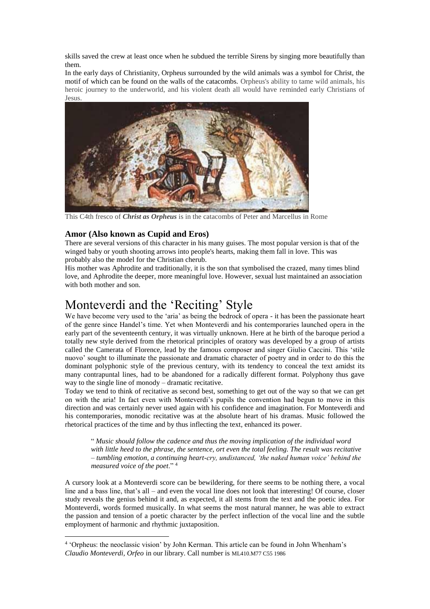skills saved the crew at least once when he subdued the terrible [Sirens](http://www.in2greece.com/english/historymyth/mythology/names/sirens.htm) by singing more beautifully than them.

In the early days of Christianity, Orpheus surrounded by the wild animals was a symbol for Christ, the motif of which can be found on the walls of the catacombs. Orpheus's ability to tame wild animals, his heroic journey to the underworld, and his violent death all would have reminded early Christians of Jesus.



This C4th fresco of *Christ as Orpheus* is in the catacombs of Peter and Marcellus in Rome

### **Amor (Also known as Cupid and Eros)**

<u>.</u>

There are several versions of this character in his many guises. The most popular version is that of the winged baby or youth shooting arrows into people's hearts, making them fall in love. This was probably also the model for the Christian cherub.

His mother was Aphrodite and traditionally, it is the son that symbolised the crazed, many times blind love, and Aphrodite the deeper, more meaningful love. However, sexual lust maintained an association with both mother and son.

## Monteverdi and the 'Reciting' Style

We have become very used to the 'aria' as being the bedrock of opera - it has been the passionate heart of the genre since Handel's time. Yet when Monteverdi and his contemporaries launched opera in the early part of the seventeenth century, it was virtually unknown. Here at he birth of the baroque period a totally new style derived from the rhetorical principles of oratory was developed by a group of artists called the Camerata of Florence, lead by the famous composer and singer Giulio Caccini. This 'stile nuovo' sought to illuminate the passionate and dramatic character of poetry and in order to do this the dominant polyphonic style of the previous century, with its tendency to conceal the text amidst its many contrapuntal lines, had to be abandoned for a radically different format. Polyphony thus gave way to the single line of monody – dramatic recitative.

Today we tend to think of recitative as second best, something to get out of the way so that we can get on with the aria! In fact even with Monteverdi's pupils the convention had begun to move in this direction and was certainly never used again with his confidence and imagination. For Monteverdi and his contemporaries, monodic recitative was at the absolute heart of his dramas. Music followed the rhetorical practices of the time and by thus inflecting the text, enhanced its power.

" *Music should follow the cadence and thus the moving implication of the individual word with little heed to the phrase, the sentence, ort even the total feeling. The result was recitative – tumbling emotion, a continuing heart-cry, undistanced, 'the naked human voice' behind the measured voice of the poet*." <sup>4</sup>

A cursory look at a Monteverdi score can be bewildering, for there seems to be nothing there, a vocal line and a bass line, that's all – and even the vocal line does not look that interesting! Of course, closer study reveals the genius behind it and, as expected, it all stems from the text and the poetic idea. For Monteverdi, words formed musically. In what seems the most natural manner, he was able to extract the passion and tension of a poetic character by the perfect inflection of the vocal line and the subtle employment of harmonic and rhythmic juxtaposition.

<sup>4</sup> 'Orpheus: the neoclassic vision' by John Kerman. This article can be found in John Whenham's *Claudio Monteverdi, Orfeo* in our library. Call number is ML410.M77 C55 1986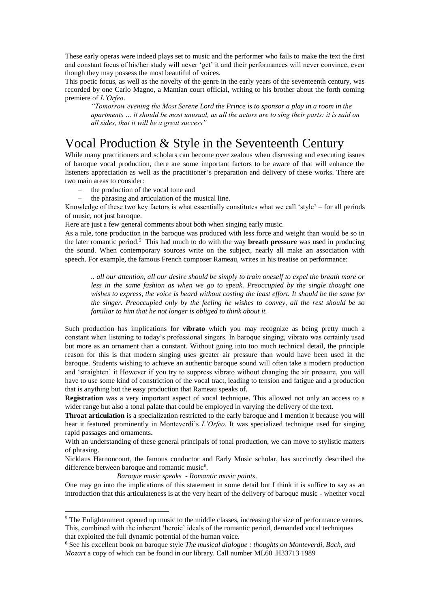These early operas were indeed plays set to music and the performer who fails to make the text the first and constant focus of his/her study will never 'get' it and their performances will never convince, even though they may possess the most beautiful of voices.

This poetic focus, as well as the novelty of the genre in the early years of the seventeenth century, was recorded by one Carlo Magno, a Mantian court official, writing to his brother about the forth coming premiere of *L'Orfeo*.

*"Tomorrow evening the Most Serene Lord the Prince is to sponsor a play in a room in the apartments … it should be most unusual, as all the actors are to sing their parts: it is said on all sides, that it will be a great success"*

## Vocal Production & Style in the Seventeenth Century

While many practitioners and scholars can become over zealous when discussing and executing issues of baroque vocal production, there are some important factors to be aware of that will enhance the listeners appreciation as well as the practitioner's preparation and delivery of these works. There are two main areas to consider:

- the production of the vocal tone and
- the phrasing and articulation of the musical line.

Knowledge of these two key factors is what essentially constitutes what we call 'style' – for all periods of music, not just baroque.

Here are just a few general comments about both when singing early music.

As a rule, tone production in the baroque was produced with less force and weight than would be so in the later romantic period.<sup>5</sup> This had much to do with the way **breath pressure** was used in producing the sound. When contemporary sources write on the subject, nearly all make an association with speech. For example, the famous French composer Rameau, writes in his treatise on performance:

*.. all our attention, all our desire should be simply to train oneself to expel the breath more or*  less in the same fashion as when we go to speak. Preoccupied by the single thought one *wishes to express, the voice is heard without costing the least effort. It should be the same for the singer. Preoccupied only by the feeling he wishes to convey, all the rest should be so familiar to him that he not longer is obliged to think about it.*

Such production has implications for **vibrato** which you may recognize as being pretty much a constant when listening to today's professional singers. In baroque singing, vibrato was certainly used but more as an ornament than a constant. Without going into too much technical detail, the principle reason for this is that modern singing uses greater air pressure than would have been used in the baroque. Students wishing to achieve an authentic baroque sound will often take a modern production and 'straighten' it However if you try to suppress vibrato without changing the air pressure, you will have to use some kind of constriction of the vocal tract, leading to tension and fatigue and a production that is anything but the easy production that Rameau speaks of.

**Registration** was a very important aspect of vocal technique. This allowed not only an access to a wider range but also a tonal palate that could be employed in varying the delivery of the text.

**Throat articulation** is a specialization restricted to the early baroque and I mention it because you will hear it featured prominently in Monteverdi's *L'Orfeo*. It was specialized technique used for singing rapid passages and ornaments**.**

With an understanding of these general principals of tonal production, we can move to stylistic matters of phrasing.

Nicklaus Harnoncourt, the famous conductor and Early Music scholar, has succinctly described the difference between baroque and romantic music<sup>6</sup>.

*Baroque music speaks - Romantic music paints*.

<u>.</u>

One may go into the implications of this statement in some detail but I think it is suffice to say as an introduction that this articulateness is at the very heart of the delivery of baroque music - whether vocal

<sup>&</sup>lt;sup>5</sup> The Enlightenment opened up music to the middle classes, increasing the size of performance venues. This, combined with the inherent 'heroic' ideals of the romantic period, demanded vocal techniques that exploited the full dynamic potential of the human voice.

<sup>6</sup> See his excellent book on baroque style *The musical dialogue : thoughts on Monteverdi, Bach, and Mozart* a copy of which can be found in our library. Call number ML60 .H33713 1989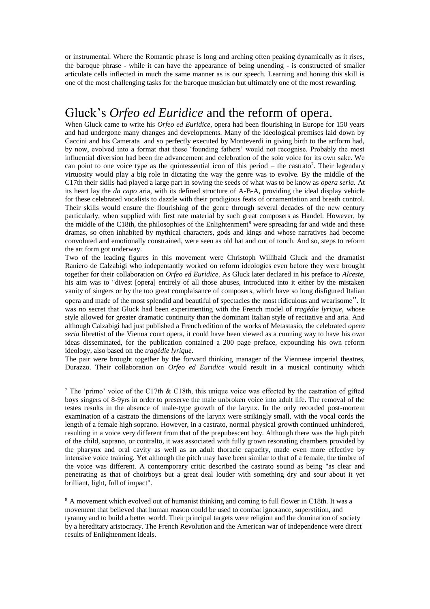or instrumental. Where the Romantic phrase is long and arching often peaking dynamically as it rises, the baroque phrase - while it can have the appearance of being unending - is constructed of smaller articulate cells inflected in much the same manner as is our speech. Learning and honing this skill is one of the most challenging tasks for the baroque musician but ultimately one of the most rewarding.

## Gluck's *Orfeo ed Euridice* and the reform of opera.

When Gluck came to write his *Orfeo ed Euridice*, opera had been flourishing in Europe for 150 years and had undergone many changes and developments. Many of the ideological premises laid down by Caccini and his Camerata and so perfectly executed by Monteverdi in giving birth to the artform had, by now, evolved into a format that these 'founding fathers' would not recognise. Probably the most influential diversion had been the advancement and celebration of the solo voice for its own sake. We can point to one voice type as the quintessential icon of this period  $-$  the castrato<sup>7</sup>. Their legendary virtuosity would play a big role in dictating the way the genre was to evolve. By the middle of the C17th their skills had played a large part in sowing the seeds of what was to be know as *opera seria.* At its heart lay the *da capo* aria, with its defined structure of A-B-A, providing the ideal display vehicle for these celebrated vocalists to dazzle with their prodigious feats of ornamentation and breath control. Their skills would ensure the flourishing of the genre through several decades of the new century particularly, when supplied with first rate material by such great composers as Handel. However, by the middle of the C18th, the philosophies of the Enlightenment<sup>8</sup> were spreading far and wide and these dramas, so often inhabited by mythical characters, gods and kings and whose narratives had become convoluted and emotionally constrained, were seen as old hat and out of touch. And so, steps to reform the art form got underway.

Two of the leading figures in this movement were Christoph Willibald Gluck and the dramatist Raniero de Calzabigi who indepentantly worked on reform ideologies even before they were brought together for their collaboration on *Orfeo ed Euridice*. As Gluck later declared in his preface to *Alceste*, his aim was to "divest [opera] entirely of all those abuses, introduced into it either by the mistaken vanity of singers or by the too great complaisance of composers, which have so long disfigured Italian opera and made of the most splendid and beautiful of spectacles the most ridiculous and wearisome". It was no secret that Gluck had been experimenting with the French model of *tragédie lyrique,* whose style allowed for greater dramatic continuity than the dominant Italian style of recitative and aria. And although Calzabigi had just published a French edition of the works of Metastasio, the celebrated *opera seria* librettist of the Vienna court opera, it could have been viewed as a cunning way to have his own ideas disseminated, for the publication contained a 200 page preface, expounding his own reform ideology, also based on the *tragédie lyrique*.

The pair were brought together by the forward thinking manager of the Viennese imperial theatres, Durazzo. Their collaboration on *Orfeo ed Euridice* would result in a musical continuity which

1

<sup>7</sup> The 'primo' voice of the C17th & C18th, this unique voice was effected by the castration of gifted boys singers of 8-9yrs in order to preserve the male unbroken voice into adult life. The removal of the testes results in the absence of male-type growth of the larynx. In the only recorded post-mortem examination of a castrato the dimensions of the larynx were strikingly small, with the vocal cords the length of a female high soprano. However, in a castrato, normal physical growth continued unhindered, resulting in a voice very different from that of the prepubescent boy. Although there was the high pitch of the child, soprano, or contralto, it was associated with fully grown resonating chambers provided by the pharynx and oral cavity as well as an adult thoracic capacity, made even more effective by intensive voice training. Yet although the pitch may have been similar to that of a female, the timbre of the voice was different. A contemporary critic described the castrato sound as being "as clear and penetrating as that of choirboys but a great deal louder with something dry and sour about it yet brilliant, light, full of impact".

<sup>8</sup> A movement which evolved out of humanist thinking and coming to full flower in C18th. It was a movement that believed that human reason could be used to combat ignorance, superstition, and tyranny and to build a better world. Their principal targets were religion and the domination of society by a hereditary aristocracy. The French Revolution and the American war of Independence were direct results of Enlightenment ideals.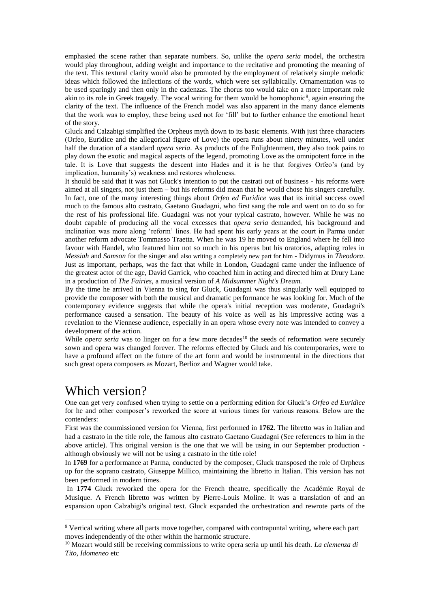emphasied the scene rather than separate numbers. So, unlike the *opera seria* model, the orchestra would play throughout, adding weight and importance to the recitative and promoting the meaning of the text. This textural clarity would also be promoted by the employment of relatively simple melodic ideas which followed the inflections of the words, which were set syllabically. Ornamentation was to be used sparingly and then only in the cadenzas. The chorus too would take on a more important role akin to its role in Greek tragedy. The vocal writing for them would be homophonic<sup>9</sup>, again ensuring the clarity of the text. The influence of the French model was also apparent in the many dance elements that the work was to employ, these being used not for 'fill' but to further enhance the emotional heart of the story.

Gluck and Calzabigi simplified the Orpheus myth down to its basic elements. With just three characters (Orfeo, Euridice and the allegorical figure of Love) the opera runs about ninety minutes, well under half the duration of a standard *opera seria*. As products of the Enlightenment, they also took pains to play down the exotic and magical aspects of the legend, promoting Love as the omnipotent force in the tale. It is Love that suggests the descent into Hades and it is he that forgives Orfeo's (and by implication, humanity's) weakness and restores wholeness.

It should be said that it was not Gluck's intention to put the castrati out of business - his reforms were aimed at all singers, not just them – but his reforms did mean that he would chose his singers carefully. In fact, one of the many interesting things about *Orfeo ed Euridice* was that its initial success owed much to the famous alto castrato, Gaetano Guadagni, who first sang the role and went on to do so for the rest of his professional life. Guadagni was not your typical castrato, however. While he was no doubt capable of producing all the vocal excesses that *opera seria* demanded, his background and inclination was more along 'reform' lines. He had spent his early years at the court in Parma under another reform advocate Tommasso Traetta. When he was 19 he moved to England where he fell into favour with Handel, who featured him not so much in his operas but his oratorios, adapting roles in *Messiah* and *Samson* for the singer and also writing a completely new part for him - Didymus in *Theodora*. Just as important, perhaps, was the fact that while in London, Guadagni came under the influence of the greatest actor of the age, David Garrick, who coached him in acting and directed him at Drury Lane in a production of *The Fairies*, a musical version of *A Midsummer Night's Dream.*

By the time he arrived in Vienna to sing for Gluck, Guadagni was thus singularly well equipped to provide the composer with both the musical and dramatic performance he was looking for. Much of the contemporary evidence suggests that while the opera's initial reception was moderate, Guadagni's performance caused a sensation. The beauty of his voice as well as his impressive acting was a revelation to the Viennese audience, especially in an opera whose every note was intended to convey a development of the action.

While *opera seria* was to linger on for a few more decades<sup>10</sup> the seeds of reformation were securely sown and opera was changed forever. The reforms effected by Gluck and his contemporaries, were to have a profound affect on the future of the art form and would be instrumental in the directions that such great opera composers as Mozart, Berlioz and Wagner would take.

## Which version?

1

One can get very confused when trying to settle on a performing edition for Gluck's *Orfeo ed Euridice* for he and other composer's reworked the score at various times for various reasons. Below are the contenders:

First was the commissioned version for Vienna, first performed in **1762**. The libretto was in Italian and had a castrato in the title role, the famous alto castrato Gaetano Guadagni (See references to him in the above article). This original version is the one that we will be using in our September production although obviously we will not be using a castrato in the title role!

In **1769** for a performance at Parma, conducted by the composer, Gluck transposed the role of Orpheus up for the soprano castrato, Giuseppe Millico, maintaining the libretto in Italian. This version has not been performed in modern times.

In **1774** Gluck reworked the opera for the French theatre, specifically the Académie Royal de Musique. A French libretto was written by Pierre-Louis Moline. It was a translation of and an expansion upon Calzabigi's original text. Gluck expanded the orchestration and rewrote parts of the

<sup>9</sup> Vertical writing where all parts move together, compared with contrapuntal writing, where each part moves independently of the other within the harmonic structure.

<sup>10</sup> Mozart would still be receiving commissions to write opera seria up until his death. *La clemenza di Tito, Idomeneo* etc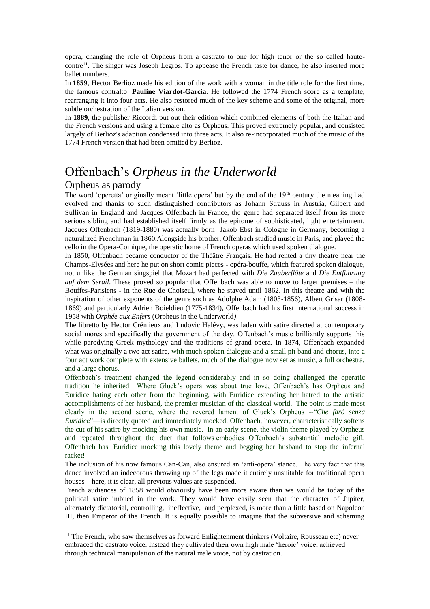opera, changing the role of Orpheus from a castrato to one for high tenor or the so called hautecontre<sup>11</sup>. The singer was Joseph Legros. To appease the French taste for dance, he also inserted more ballet numbers.

n **1859**, Hector Berlioz made his edition of the work with a woman in the title role for the first time, the famous contralto **Pauline Viardot-Garcìa**. He followed the 1774 French score as a template, rearranging it into four acts. He also restored much of the key scheme and some of the original, more subtle orchestration of the Italian version.

In **1889**, the publisher Riccordi put out their edition which combined elements of both the Italian and the French versions and using a female alto as Orpheus. This proved extremely popular, and consisted largely of Berlioz's adaption condensed into three acts. It also re-incorporated much of the music of the 1774 French version that had been omitted by Berlioz.

## Offenbach's *Orpheus in the Underworld*

#### Orpheus as parody

<u>.</u>

The word 'operetta' originally meant 'little opera' but by the end of the 19<sup>th</sup> century the meaning had evolved and thanks to such distinguished contributors as Johann Strauss in Austria, Gilbert and Sullivan in England and Jacques Offenbach in France, the genre had separated itself from its more serious sibling and had established itself firmly as the epitome of sophisticated, light entertainment. Jacques Offenbach (1819-1880) was actually born Jakob Ebst in Cologne in Germany, becoming a naturalized Frenchman in 1860.Alongside his brother, Offenbach studied music in Paris, and played the cello in the Opera-Comique, the operatic home of French operas which used spoken dialogue.

In 1850, Offenbach became conductor of the Théâtre Français. He had rented a tiny theatre near the Champs-Elysées and here he put on short comic pieces - opéra-bouffe, which featured spoken dialogue, not unlike the German singspiel that Mozart had perfected with *Die Zauberflöte* and *Die Entführung auf dem Serail*. These proved so popular that Offenbach was able to move to larger premises – the Bouffes-Parisiens - in the Rue de Choiseul, where he stayed until 1862. In this theatre and with the inspiration of other exponents of the genre such as Adolphe Adam (1803-1856), Albert Grisar (1808- 1869) and particularly Adrien Boieldieu (1775-1834), Offenbach had his first international success in 1958 with *Orphée aux Enfers* (Orpheus in the Underworld*)*.

The libretto by Hector Crémieux and Ludovic Halévy, was laden with satire directed at contemporary social mores and specifically the government of the day. Offenbach's music brilliantly supports this while parodying Greek mythology and the traditions of grand opera. In 1874, Offenbach expanded what was originally a two act satire, with much spoken dialogue and a small pit band and chorus, into a four act work complete with extensive ballets, much of the dialogue now set as music, a full orchestra, and a large chorus.

Offenbach's treatment changed the legend considerably and in so doing challenged the operatic tradition he inherited. Where Gluck's opera was about true love, Offenbach's has Orpheus and Euridice hating each other from the beginning, with Euridice extending her hatred to the artistic accomplishments of her husband, the premier musician of the classical world. The point is made most clearly in the second scene, where the revered lament of Gluck's Orpheus --"*Che faró senza Euridic*e"—is directly quoted and immediately mocked. Offenbach, however, characteristically softens the cut of his satire by mocking his own music. In an early scene, the violin theme played by Orpheus and repeated throughout the duet that follows embodies Offenbach's substantial melodic gift. Offenbach has Euridice mocking this lovely theme and begging her husband to stop the infernal racket!

The inclusion of his now famous Can-Can, also ensured an 'anti-opera' stance. The very fact that this dance involved an indecorous throwing up of the legs made it entirely unsuitable for traditional opera houses – here, it is clear, all previous values are suspended.

French audiences of 1858 would obviously have been more aware than we would be today of the political satire imbued in the work. They would have easily seen that the character of Jupiter, alternately dictatorial, controlling, ineffective, and perplexed, is more than a little based on Napoleon III, then Emperor of the French. It is equally possible to imagine that the subversive and scheming

<sup>&</sup>lt;sup>11</sup> The French, who saw themselves as forward Enlightenment thinkers (Voltaire, Rousseau etc) never embraced the castrato voice. Instead they cultivated their own high male 'heroic' voice, achieved through technical manipulation of the natural male voice, not by castration.